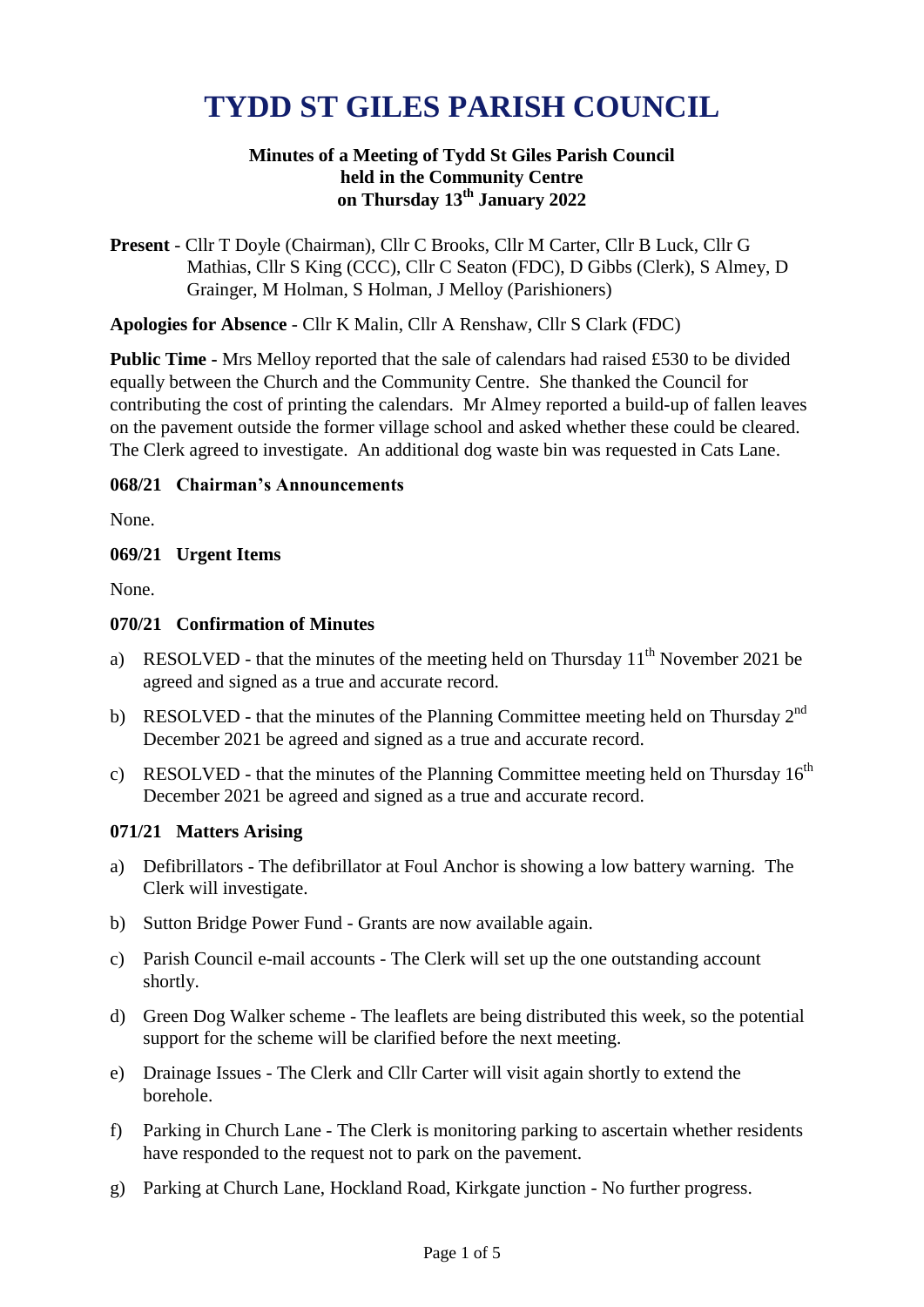# **TYDD ST GILES PARISH COUNCIL**

## **Minutes of a Meeting of Tydd St Giles Parish Council held in the Community Centre on Thursday 13 th January 2022**

**Present** - Cllr T Doyle (Chairman), Cllr C Brooks, Cllr M Carter, Cllr B Luck, Cllr G Mathias, Cllr S King (CCC), Cllr C Seaton (FDC), D Gibbs (Clerk), S Almey, D Grainger, M Holman, S Holman, J Melloy (Parishioners)

**Apologies for Absence** - Cllr K Malin, Cllr A Renshaw, Cllr S Clark (FDC)

**Public Time -** Mrs Melloy reported that the sale of calendars had raised £530 to be divided equally between the Church and the Community Centre. She thanked the Council for contributing the cost of printing the calendars. Mr Almey reported a build-up of fallen leaves on the pavement outside the former village school and asked whether these could be cleared. The Clerk agreed to investigate. An additional dog waste bin was requested in Cats Lane.

#### **068/21 Chairman's Announcements**

None.

**069/21 Urgent Items**

None.

#### **070/21 Confirmation of Minutes**

- a) RESOLVED that the minutes of the meeting held on Thursday  $11<sup>th</sup>$  November 2021 be agreed and signed as a true and accurate record.
- b) RESOLVED that the minutes of the Planning Committee meeting held on Thursday  $2^{nd}$ December 2021 be agreed and signed as a true and accurate record.
- c) RESOLVED that the minutes of the Planning Committee meeting held on Thursday  $16<sup>th</sup>$ December 2021 be agreed and signed as a true and accurate record.

#### **071/21 Matters Arising**

- a) Defibrillators The defibrillator at Foul Anchor is showing a low battery warning. The Clerk will investigate.
- b) Sutton Bridge Power Fund Grants are now available again.
- c) Parish Council e-mail accounts The Clerk will set up the one outstanding account shortly.
- d) Green Dog Walker scheme The leaflets are being distributed this week, so the potential support for the scheme will be clarified before the next meeting.
- e) Drainage Issues The Clerk and Cllr Carter will visit again shortly to extend the borehole.
- f) Parking in Church Lane The Clerk is monitoring parking to ascertain whether residents have responded to the request not to park on the pavement.
- g) Parking at Church Lane, Hockland Road, Kirkgate junction No further progress.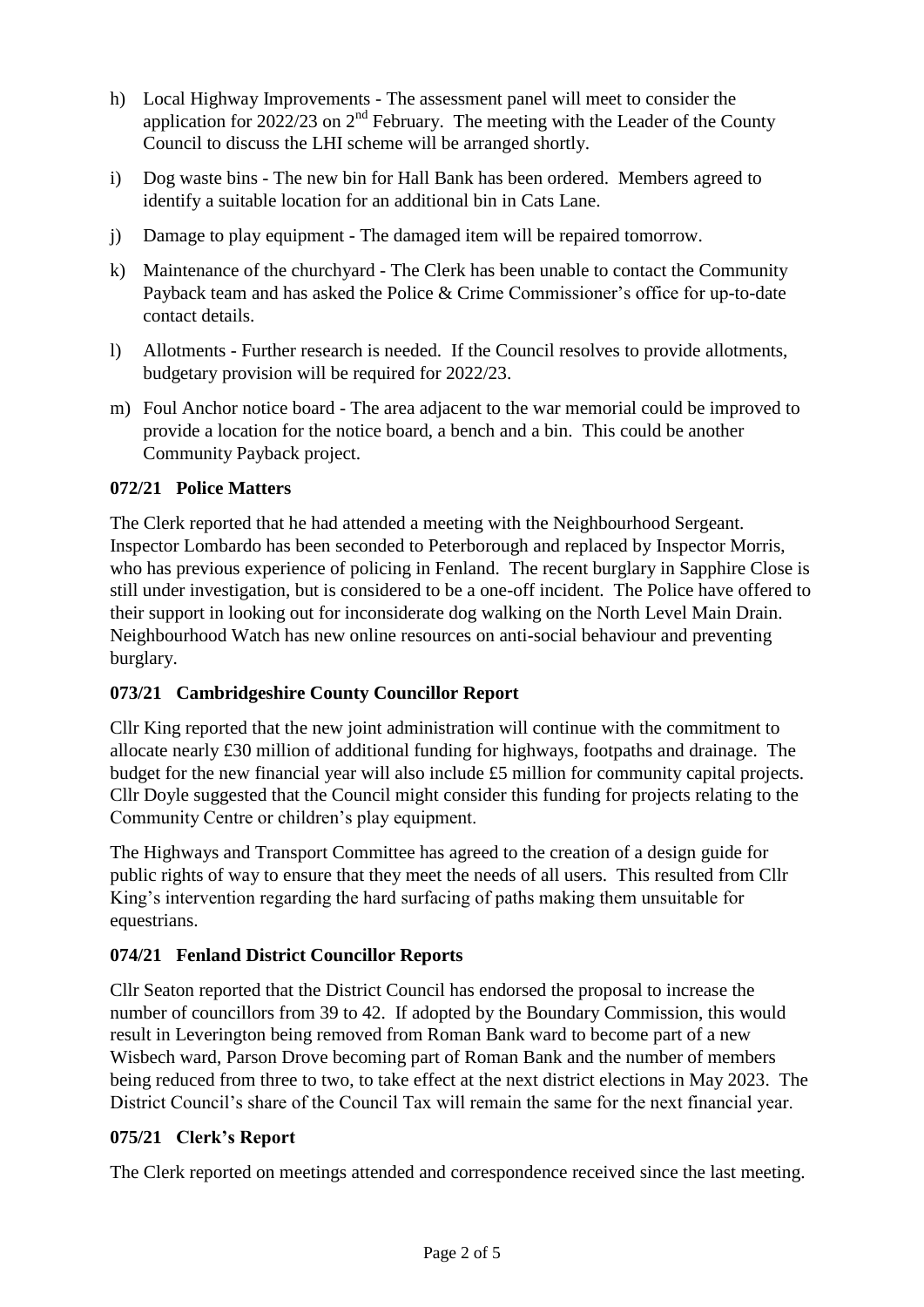- h) Local Highway Improvements The assessment panel will meet to consider the application for 2022/23 on 2<sup>nd</sup> February. The meeting with the Leader of the County Council to discuss the LHI scheme will be arranged shortly.
- i) Dog waste bins The new bin for Hall Bank has been ordered. Members agreed to identify a suitable location for an additional bin in Cats Lane.
- j) Damage to play equipment The damaged item will be repaired tomorrow.
- k) Maintenance of the churchyard The Clerk has been unable to contact the Community Payback team and has asked the Police & Crime Commissioner's office for up-to-date contact details.
- l) Allotments Further research is needed. If the Council resolves to provide allotments, budgetary provision will be required for 2022/23.
- m) Foul Anchor notice board The area adjacent to the war memorial could be improved to provide a location for the notice board, a bench and a bin. This could be another Community Payback project.

## **072/21 Police Matters**

The Clerk reported that he had attended a meeting with the Neighbourhood Sergeant. Inspector Lombardo has been seconded to Peterborough and replaced by Inspector Morris, who has previous experience of policing in Fenland. The recent burglary in Sapphire Close is still under investigation, but is considered to be a one-off incident. The Police have offered to their support in looking out for inconsiderate dog walking on the North Level Main Drain. Neighbourhood Watch has new online resources on anti-social behaviour and preventing burglary.

## **073/21 Cambridgeshire County Councillor Report**

Cllr King reported that the new joint administration will continue with the commitment to allocate nearly £30 million of additional funding for highways, footpaths and drainage. The budget for the new financial year will also include £5 million for community capital projects. Cllr Doyle suggested that the Council might consider this funding for projects relating to the Community Centre or children's play equipment.

The Highways and Transport Committee has agreed to the creation of a design guide for public rights of way to ensure that they meet the needs of all users. This resulted from Cllr King's intervention regarding the hard surfacing of paths making them unsuitable for equestrians.

## **074/21 Fenland District Councillor Reports**

Cllr Seaton reported that the District Council has endorsed the proposal to increase the number of councillors from 39 to 42. If adopted by the Boundary Commission, this would result in Leverington being removed from Roman Bank ward to become part of a new Wisbech ward, Parson Drove becoming part of Roman Bank and the number of members being reduced from three to two, to take effect at the next district elections in May 2023. The District Council's share of the Council Tax will remain the same for the next financial year.

# **075/21 Clerk's Report**

The Clerk reported on meetings attended and correspondence received since the last meeting.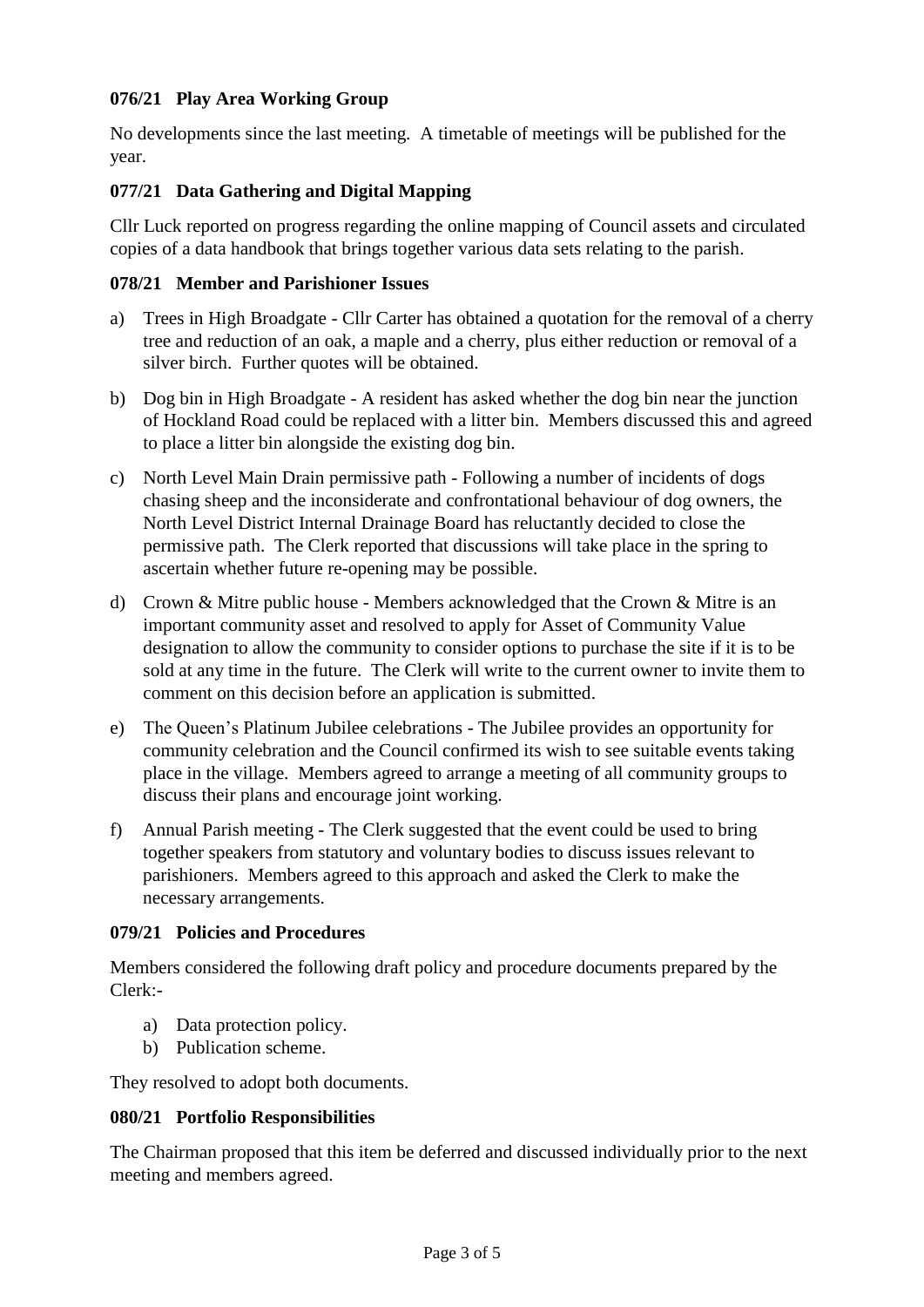# **076/21 Play Area Working Group**

No developments since the last meeting. A timetable of meetings will be published for the year.

## **077/21 Data Gathering and Digital Mapping**

Cllr Luck reported on progress regarding the online mapping of Council assets and circulated copies of a data handbook that brings together various data sets relating to the parish.

#### **078/21 Member and Parishioner Issues**

- a) Trees in High Broadgate Cllr Carter has obtained a quotation for the removal of a cherry tree and reduction of an oak, a maple and a cherry, plus either reduction or removal of a silver birch. Further quotes will be obtained.
- b) Dog bin in High Broadgate A resident has asked whether the dog bin near the junction of Hockland Road could be replaced with a litter bin. Members discussed this and agreed to place a litter bin alongside the existing dog bin.
- c) North Level Main Drain permissive path Following a number of incidents of dogs chasing sheep and the inconsiderate and confrontational behaviour of dog owners, the North Level District Internal Drainage Board has reluctantly decided to close the permissive path. The Clerk reported that discussions will take place in the spring to ascertain whether future re-opening may be possible.
- d) Crown & Mitre public house Members acknowledged that the Crown & Mitre is an important community asset and resolved to apply for Asset of Community Value designation to allow the community to consider options to purchase the site if it is to be sold at any time in the future. The Clerk will write to the current owner to invite them to comment on this decision before an application is submitted.
- e) The Queen's Platinum Jubilee celebrations The Jubilee provides an opportunity for community celebration and the Council confirmed its wish to see suitable events taking place in the village. Members agreed to arrange a meeting of all community groups to discuss their plans and encourage joint working.
- f) Annual Parish meeting The Clerk suggested that the event could be used to bring together speakers from statutory and voluntary bodies to discuss issues relevant to parishioners. Members agreed to this approach and asked the Clerk to make the necessary arrangements.

#### **079/21 Policies and Procedures**

Members considered the following draft policy and procedure documents prepared by the Clerk:-

- a) Data protection policy.
- b) Publication scheme.

They resolved to adopt both documents.

#### **080/21 Portfolio Responsibilities**

The Chairman proposed that this item be deferred and discussed individually prior to the next meeting and members agreed.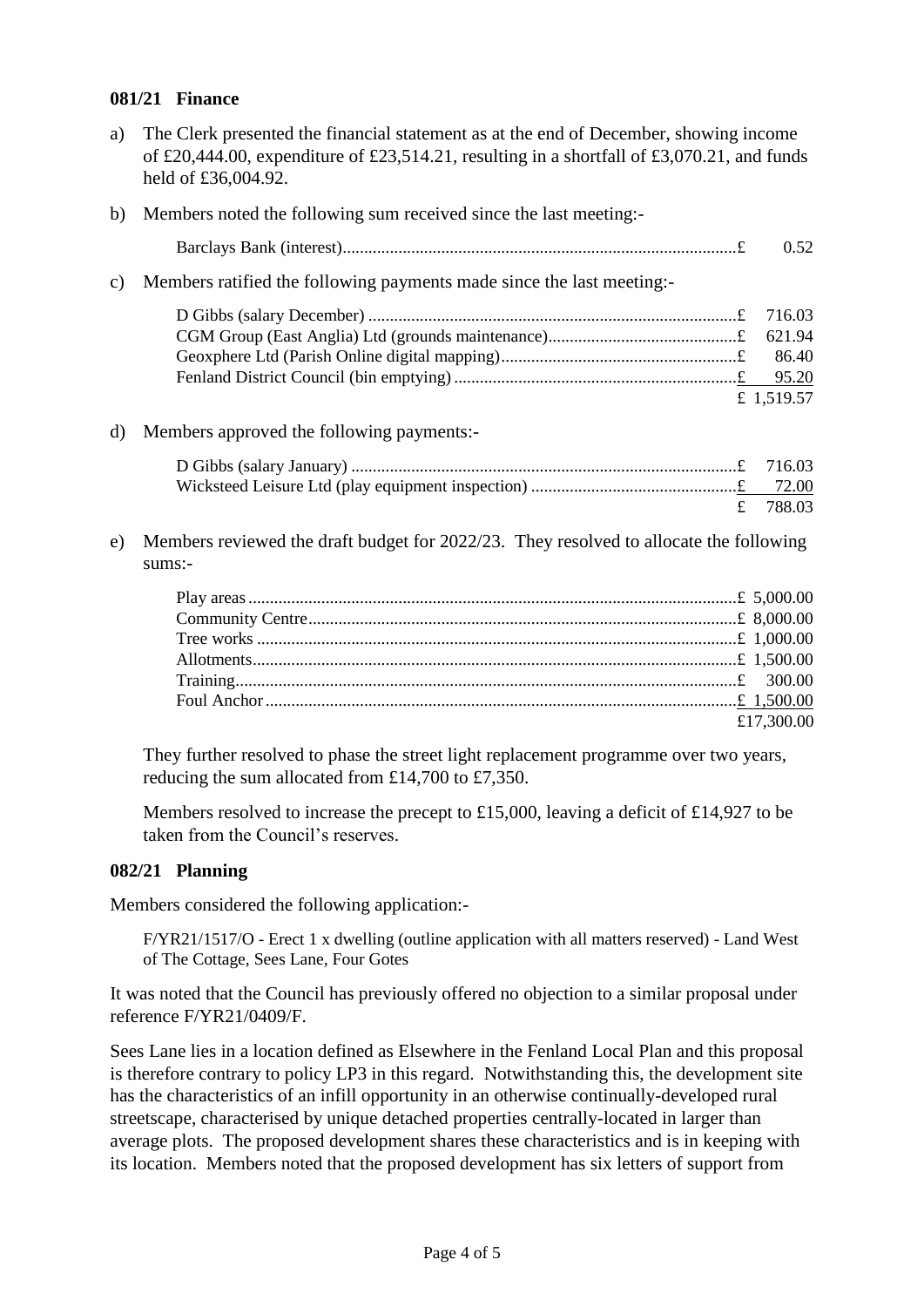#### **081/21 Finance**

a) The Clerk presented the financial statement as at the end of December, showing income of £20,444.00, expenditure of £23,514.21, resulting in a shortfall of £3,070.21, and funds held of £36,004.92.

|    | b) Members noted the following sum received since the last meeting:-                             |            |
|----|--------------------------------------------------------------------------------------------------|------------|
|    |                                                                                                  | 0.52       |
| c) | Members ratified the following payments made since the last meeting:-                            |            |
|    |                                                                                                  | 716.03     |
|    |                                                                                                  | 621.94     |
|    |                                                                                                  | 86.40      |
|    |                                                                                                  |            |
|    |                                                                                                  | £ 1,519.57 |
| d) | Members approved the following payments:-                                                        |            |
|    |                                                                                                  | 716.03     |
|    |                                                                                                  |            |
|    | £                                                                                                | 788.03     |
| e) | Members reviewed the draft budget for 2022/23. They resolved to allocate the following<br>sums:- |            |
|    |                                                                                                  |            |
|    |                                                                                                  |            |
|    |                                                                                                  |            |
|    |                                                                                                  |            |
|    |                                                                                                  |            |

They further resolved to phase the street light replacement programme over two years, reducing the sum allocated from £14,700 to £7,350.

Foul Anchor..............................................................................................................£ 1,500.00

£17,300.00

Members resolved to increase the precept to £15,000, leaving a deficit of £14,927 to be taken from the Council's reserves.

#### **082/21 Planning**

Members considered the following application:-

F/YR21/1517/O - Erect 1 x dwelling (outline application with all matters reserved) - Land West of The Cottage, Sees Lane, Four Gotes

It was noted that the Council has previously offered no objection to a similar proposal under reference F/YR21/0409/F.

Sees Lane lies in a location defined as Elsewhere in the Fenland Local Plan and this proposal is therefore contrary to policy LP3 in this regard. Notwithstanding this, the development site has the characteristics of an infill opportunity in an otherwise continually-developed rural streetscape, characterised by unique detached properties centrally-located in larger than average plots. The proposed development shares these characteristics and is in keeping with its location. Members noted that the proposed development has six letters of support from